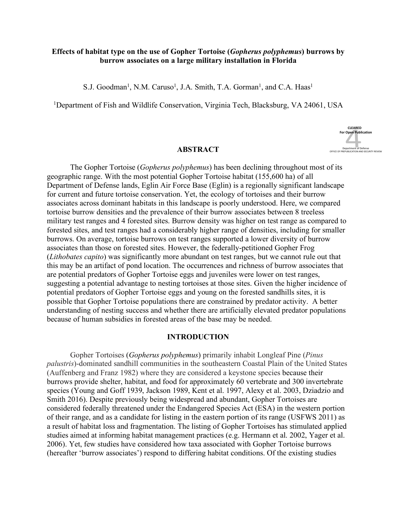## **Effects of habitat type on the use of Gopher Tortoise (***Gopherus polyphemus***) burrows by burrow associates on a large military installation in Florida**

S.J. Goodman<sup>1</sup>, N.M. Caruso<sup>1</sup>, J.A. Smith, T.A. Gorman<sup>1</sup>, and C.A. Haas<sup>1</sup>

<sup>1</sup>Department of Fish and Wildlife Conservation, Virginia Tech, Blacksburg, VA 24061, USA



### **ABSTRACT**

 geographic range. With the most potential Gopher Tortoise habitat (155,600 ha) of all Department of Defense lands, Eglin Air Force Base (Eglin) is a regionally significant landscape for current and future tortoise conservation. Yet, the ecology of tortoises and their burrow associates across dominant habitats in this landscape is poorly understood. Here, we compared tortoise burrow densities and the prevalence of their burrow associates between 8 treeless military test ranges and 4 forested sites. Burrow density was higher on test range as compared to forested sites, and test ranges had a considerably higher range of densities, including for smaller burrows. On average, tortoise burrows on test ranges supported a lower diversity of burrow associates than those on forested sites. However, the federally-petitioned Gopher Frog (*Lithobates capito*) was significantly more abundant on test ranges, but we cannot rule out that this may be an artifact of pond location. The occurrences and richness of burrow associates that are potential predators of Gopher Tortoise eggs and juveniles were lower on test ranges, suggesting a potential advantage to nesting tortoises at those sites. Given the higher incidence of potential predators of Gopher Tortoise eggs and young on the forested sandhills sites, it is possible that Gopher Tortoise populations there are constrained by predator activity. A better understanding of nesting success and whether there are artificially elevated predator populations because of human subsidies in forested areas of the base may be needed. The Gopher Tortoise (*Gopherus polyphemus*) has been declining throughout most of its

### **INTRODUCTION**

 Gopher Tortoises (*Gopherus polyphemus*) primarily inhabit Longleaf Pine (*Pinus palustris*)-dominated sandhill communities in the southeastern Coastal Plain of the United States (Auffenberg and Franz 1982) where they are considered a keystone species because their burrows provide shelter, habitat, and food for approximately 60 vertebrate and 300 invertebrate species (Young and Goff 1939, Jackson 1989, Kent et al. 1997, Alexy et al. 2003, Dziadzio and Smith 2016). Despite previously being widespread and abundant, Gopher Tortoises are considered federally threatened under the Endangered Species Act (ESA) in the western portion of their range, and as a candidate for listing in the eastern portion of its range (USFWS 2011) as a result of habitat loss and fragmentation. The listing of Gopher Tortoises has stimulated applied studies aimed at informing habitat management practices (e.g. Hermann et al. 2002, Yager et al. 2006). Yet, few studies have considered how taxa associated with Gopher Tortoise burrows (hereafter 'burrow associates') respond to differing habitat conditions. Of the existing studies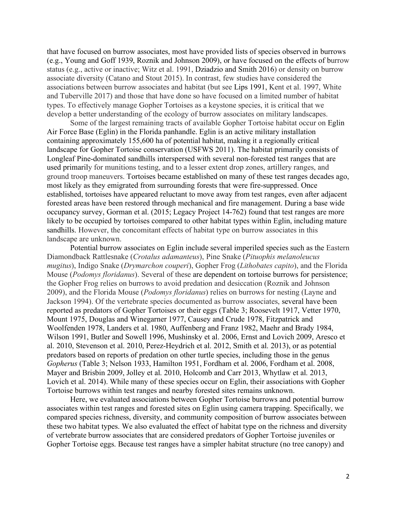that have focused on burrow associates, most have provided lists of species observed in burrows (e.g., Young and Goff 1939, Roznik and Johnson 2009), or have focused on the effects of burrow status (e.g., active or inactive; Witz et al. 1991, Dziadzio and Smith 2016) or density on burrow associate diversity (Catano and Stout 2015). In contrast, few studies have considered the associations between burrow associates and habitat (but see Lips 1991, Kent et al. 1997, White and Tuberville 2017) and those that have done so have focused on a limited number of habitat types. To effectively manage Gopher Tortoises as a keystone species, it is critical that we develop a better understanding of the ecology of burrow associates on military landscapes.

 Some of the largest remaining tracts of available Gopher Tortoise habitat occur on Eglin Air Force Base (Eglin) in the Florida panhandle. Eglin is an active military installation containing approximately 155,600 ha of potential habitat, making it a regionally critical landscape for Gopher Tortoise conservation (USFWS 2011). The habitat primarily consists of Longleaf Pine-dominated sandhills interspersed with several non-forested test ranges that are used primarily for munitions testing, and to a lesser extent drop zones, artillery ranges, and ground troop maneuvers. Tortoises became established on many of these test ranges decades ago, most likely as they emigrated from surrounding forests that were fire-suppressed. Once established, tortoises have appeared reluctant to move away from test ranges, even after adjacent forested areas have been restored through mechanical and fire management. During a base wide occupancy survey, Gorman et al. (2015; Legacy Project 14-762) found that test ranges are more likely to be occupied by tortoises compared to other habitat types within Eglin, including mature sandhills. However, the concomitant effects of habitat type on burrow associates in this landscape are unknown.

 Potential burrow associates on Eglin include several imperiled species such as the Eastern Diamondback Rattlesnake (*Crotalus adamanteus*), Pine Snake (*Pituophis melanoleucus mugitus*), Indigo Snake (*Drymarchon couperi*), Gopher Frog (*Lithobates capito*), and the Florida Mouse (*Podomys floridanus*). Several of these are dependent on tortoise burrows for persistence; the Gopher Frog relies on burrows to avoid predation and desiccation (Roznik and Johnson 2009), and the Florida Mouse (*Podomys floridanus*) relies on burrows for nesting (Layne and Jackson 1994). Of the vertebrate species documented as burrow associates, several have been reported as predators of Gopher Tortoises or their eggs (Table 3; Roosevelt 1917, Vetter 1970, Mount 1975, Douglas and Winegarner 1977, Causey and Crude 1978, Fitzpatrick and Woolfenden 1978, Landers et al. 1980, Auffenberg and Franz 1982, Maehr and Brady 1984, Wilson 1991, Butler and Sowell 1996, Mushinsky et al. 2006, Ernst and Lovich 2009, Aresco et al. 2010, Stevenson et al. 2010, Perez-Heydrich et al. 2012, Smith et al. 2013), or as potential predators based on reports of predation on other turtle species, including those in the genus *Gopherus* (Table 3; Nelson 1933, Hamilton 1951, Fordham et al. 2006, Fordham et al. 2008, Mayer and Brisbin 2009, Jolley et al. 2010, Holcomb and Carr 2013, Whytlaw et al. 2013, Lovich et al. 2014). While many of these species occur on Eglin, their associations with Gopher Tortoise burrows within test ranges and nearby forested sites remains unknown.

 associates within test ranges and forested sites on Eglin using camera trapping. Specifically, we compared species richness, diversity, and community composition of burrow associates between these two habitat types. We also evaluated the effect of habitat type on the richness and diversity of vertebrate burrow associates that are considered predators of Gopher Tortoise juveniles or Gopher Tortoise eggs. Because test ranges have a simpler habitat structure (no tree canopy) and Here, we evaluated associations between Gopher Tortoise burrows and potential burrow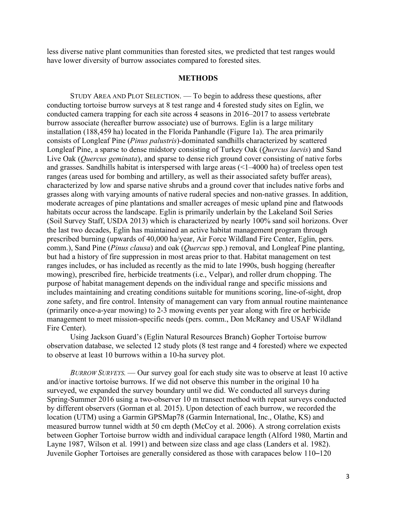less diverse native plant communities than forested sites, we predicted that test ranges would have lower diversity of burrow associates compared to forested sites.

## **METHODS**

 STUDY AREA AND PLOT SELECTION. — To begin to address these questions, after conducting tortoise burrow surveys at 8 test range and 4 forested study sites on Eglin, we conducted camera trapping for each site across 4 seasons in 2016–2017 to assess vertebrate burrow associate (hereafter burrow associate) use of burrows. Eglin is a large military installation (188,459 ha) located in the Florida Panhandle (Figure 1a). The area primarily consists of Longleaf Pine (*Pinus palustris*)-dominated sandhills characterized by scattered Longleaf Pine, a sparse to dense midstory consisting of Turkey Oak (*Quercus laevis*) and Sand Live Oak (*Quercus geminata*), and sparse to dense rich ground cover consisting of native forbs and grasses. Sandhills habitat is interspersed with large areas (<1–4000 ha) of treeless open test ranges (areas used for bombing and artillery, as well as their associated safety buffer areas), characterized by low and sparse native shrubs and a ground cover that includes native forbs and grasses along with varying amounts of native ruderal species and non-native grasses. In addition, moderate acreages of pine plantations and smaller acreages of mesic upland pine and flatwoods habitats occur across the landscape. Eglin is primarily underlain by the Lakeland Soil Series (Soil Survey Staff, USDA 2013) which is characterized by nearly 100% sand soil horizons. Over the last two decades, Eglin has maintained an active habitat management program through prescribed burning (upwards of 40,000 ha/year, Air Force Wildland Fire Center, Eglin, pers. comm.), Sand Pine (*Pinus clausa*) and oak (*Quercus* spp.) removal, and Longleaf Pine planting, but had a history of fire suppression in most areas prior to that. Habitat management on test ranges includes, or has included as recently as the mid to late 1990s, bush hogging (hereafter mowing), prescribed fire, herbicide treatments (i.e., Velpar), and roller drum chopping. The purpose of habitat management depends on the individual range and specific missions and includes maintaining and creating conditions suitable for munitions scoring, line-of-sight, drop zone safety, and fire control. Intensity of management can vary from annual routine maintenance (primarily once-a-year mowing) to 2-3 mowing events per year along with fire or herbicide management to meet mission-specific needs (pers. comm., Don McRaney and USAF Wildland Fire Center).

 Using Jackson Guard's (Eglin Natural Resources Branch) Gopher Tortoise burrow observation database, we selected 12 study plots (8 test range and 4 forested) where we expected to observe at least 10 burrows within a 10-ha survey plot.

 *BURROW SURVEYS.* — Our survey goal for each study site was to observe at least 10 active and/or inactive tortoise burrows. If we did not observe this number in the original 10 ha surveyed, we expanded the survey boundary until we did. We conducted all surveys during Spring-Summer 2016 using a two-observer 10 m transect method with repeat surveys conducted by different observers (Gorman et al. 2015). Upon detection of each burrow, we recorded the location (UTM) using a Garmin GPSMap78 (Garmin International, Inc., Olathe, KS) and measured burrow tunnel width at 50 cm depth (McCoy et al. 2006). A strong correlation exists between Gopher Tortoise burrow width and individual carapace length (Alford 1980, Martin and Layne 1987, Wilson et al. 1991) and between size class and age class (Landers et al. 1982). Juvenile Gopher Tortoises are generally considered as those with carapaces below 110–120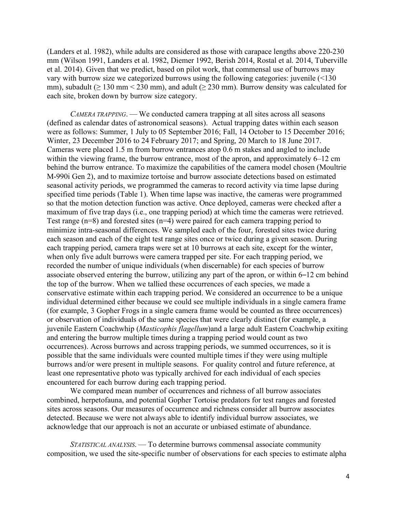(Landers et al. 1982), while adults are considered as those with carapace lengths above 220-230 mm (Wilson 1991, Landers et al. 1982, Diemer 1992, Berish 2014, Rostal et al. 2014, Tuberville et al. 2014). Given that we predict, based on pilot work, that commensal use of burrows may vary with burrow size we categorized burrows using the following categories: juvenile (<130 mm), subadult ( $\geq 130$  mm  $\leq 230$  mm), and adult ( $\geq 230$  mm). Burrow density was calculated for each site, broken down by burrow size category.

 *CAMERA TRAPPING*. — We conducted camera trapping at all sites across all seasons (defined as calendar dates of astronomical seasons). Actual trapping dates within each season were as follows: Summer, 1 July to 05 September 2016; Fall, 14 October to 15 December 2016; Winter, 23 December 2016 to 24 February 2017; and Spring, 20 March to 18 June 2017. Cameras were placed 1.5 m from burrow entrances atop 0.6 m stakes and angled to include within the viewing frame, the burrow entrance, most of the apron, and approximately 6–12 cm behind the burrow entrance. To maximize the capabilities of the camera model chosen (Moultrie M-990i Gen 2), and to maximize tortoise and burrow associate detections based on estimated seasonal activity periods, we programmed the cameras to record activity via time lapse during specified time periods (Table 1). When time lapse was inactive, the cameras were programmed so that the motion detection function was active. Once deployed, cameras were checked after a maximum of five trap days (i.e., one trapping period) at which time the cameras were retrieved. Test range  $(n=8)$  and forested sites  $(n=4)$  were paired for each camera trapping period to minimize intra-seasonal differences. We sampled each of the four, forested sites twice during each season and each of the eight test range sites once or twice during a given season. During each trapping period, camera traps were set at 10 burrows at each site, except for the winter, when only five adult burrows were camera trapped per site. For each trapping period, we recorded the number of unique individuals (when discernable) for each species of burrow associate observed entering the burrow, utilizing any part of the apron, or within 6–12 cm behind the top of the burrow. When we tallied these occurrences of each species, we made a conservative estimate within each trapping period. We considered an occurrence to be a unique individual determined either because we could see multiple individuals in a single camera frame (for example, 3 Gopher Frogs in a single camera frame would be counted as three occurrences) or observation of individuals of the same species that were clearly distinct (for example, a juvenile Eastern Coachwhip (*Masticophis flagellum*)and a large adult Eastern Coachwhip exiting and entering the burrow multiple times during a trapping period would count as two occurrences). Across burrows and across trapping periods, we summed occurrences, so it is possible that the same individuals were counted multiple times if they were using multiple burrows and/or were present in multiple seasons. For quality control and future reference, at least one representative photo was typically archived for each individual of each species encountered for each burrow during each trapping period.

 We compared mean number of occurrences and richness of all burrow associates combined, herpetofauna, and potential Gopher Tortoise predators for test ranges and forested sites across seasons. Our measures of occurrence and richness consider all burrow associates detected. Because we were not always able to identify individual burrow associates, we acknowledge that our approach is not an accurate or unbiased estimate of abundance.

 *STATISTICAL ANALYSIS*. — To determine burrows commensal associate community composition, we used the site-specific number of observations for each species to estimate alpha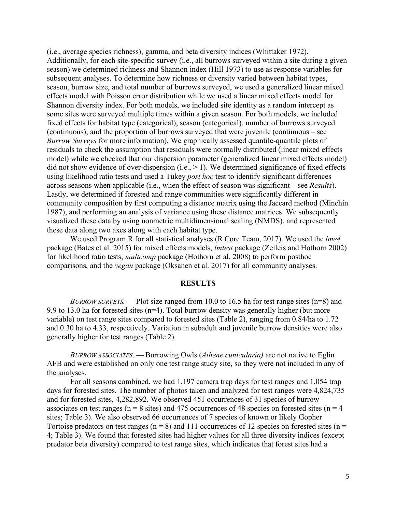(i.e., average species richness), gamma, and beta diversity indices (Whittaker 1972). Additionally, for each site-specific survey (i.e., all burrows surveyed within a site during a given season) we determined richness and Shannon index (Hill 1973) to use as response variables for subsequent analyses. To determine how richness or diversity varied between habitat types, season, burrow size, and total number of burrows surveyed, we used a generalized linear mixed effects model with Poisson error distribution while we used a linear mixed effects model for Shannon diversity index. For both models, we included site identity as a random intercept as some sites were surveyed multiple times within a given season. For both models, we included fixed effects for habitat type (categorical), season (categorical), number of burrows surveyed (continuous), and the proportion of burrows surveyed that were juvenile (continuous – see *Burrow Surveys* for more information). We graphically assessed quantile-quantile plots of residuals to check the assumption that residuals were normally distributed (linear mixed effects model) while we checked that our dispersion parameter (generalized linear mixed effects model) did not show evidence of over-dispersion  $(i.e., > 1)$ . We determined significance of fixed effects using likelihood ratio tests and used a Tukey *post hoc* test to identify significant differences across seasons when applicable (i.e., when the effect of season was significant – see *Results*). Lastly, we determined if forested and range communities were significantly different in community composition by first computing a distance matrix using the Jaccard method (Minchin 1987), and performing an analysis of variance using these distance matrices. We subsequently visualized these data by using nonmetric multidimensional scaling (NMDS), and represented these data along two axes along with each habitat type.

 package (Bates et al. 2015) for mixed effects models, *lmtest* package (Zeileis and Hothorn 2002) for likelihood ratio tests, *multcomp* package (Hothorn et al. 2008) to perform posthoc comparisons, and the *vegan* package (Oksanen et al. 2017) for all community analyses. We used Program R for all statistical analyses (R Core Team, 2017). We used the *lme4* 

### **RESULTS**

 *BURROW SURVEYS.* — Plot size ranged from 10.0 to 16.5 ha for test range sites (n=8) and 9.9 to 13.0 ha for forested sites (n=4). Total burrow density was generally higher (but more variable) on test range sites compared to forested sites (Table 2), ranging from 0.84/ha to 1.72 and 0.30 ha to 4.33, respectively. Variation in subadult and juvenile burrow densities were also generally higher for test ranges (Table 2).

 *BURROW ASSOCIATES*. — Burrowing Owls (*Athene cunicularia)* are not native to Eglin AFB and were established on only one test range study site, so they were not included in any of the analyses.

 days for forested sites. The number of photos taken and analyzed for test ranges were 4,824,735 and for forested sites, 4,282,892. We observed 451 occurrences of 31 species of burrow associates on test ranges ( $n = 8$  sites) and 475 occurrences of 48 species on forested sites ( $n = 4$ ) sites; Table 3). We also observed 66 occurrences of 7 species of known or likely Gopher Tortoise predators on test ranges ( $n = 8$ ) and 111 occurrences of 12 species on forested sites ( $n =$  4; Table 3). We found that forested sites had higher values for all three diversity indices (except predator beta diversity) compared to test range sites, which indicates that forest sites had a For all seasons combined, we had 1,197 camera trap days for test ranges and 1,054 trap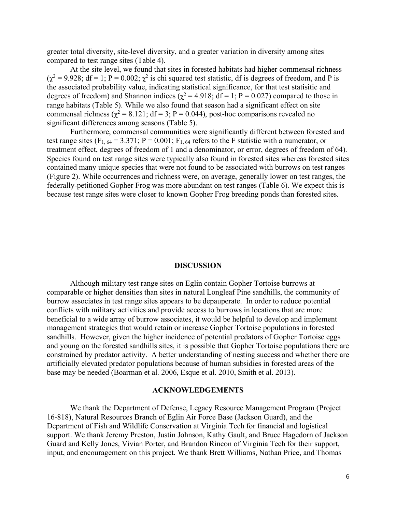greater total diversity, site-level diversity, and a greater variation in diversity among sites compared to test range sites (Table 4).

 $(\chi^2 = 9.928; df = 1; P = 0.002; \chi^2$  is chi squared test statistic, df is degrees of freedom, and P is the associated probability value, indicating statistical significance, for that test statisitic and degrees of freedom) and Shannon indices ( $\chi^2$  = 4.918; df = 1; P = 0.027) compared to those in range habitats (Table 5). While we also found that season had a significant effect on site commensal richness ( $\chi^2$  = 8.121; df = 3; P = 0.044), post-hoc comparisons revealed no significant differences among seasons (Table 5). At the site level, we found that sites in forested habitats had higher commensal richness

 Furthermore, commensal communities were significantly different between forested and test range sites ( $F_{1, 64} = 3.371$ ;  $P = 0.001$ ;  $F_{1, 64}$  refers to the F statistic with a numerator, or treatment effect, degrees of freedom of 1 and a denominator, or error, degrees of freedom of 64). Species found on test range sites were typically also found in forested sites whereas forested sites contained many unique species that were not found to be associated with burrows on test ranges (Figure 2). While occurrences and richness were, on average, generally lower on test ranges, the federally-petitioned Gopher Frog was more abundant on test ranges (Table 6). We expect this is because test range sites were closer to known Gopher Frog breeding ponds than forested sites.

#### **DISCUSSION**

 Although military test range sites on Eglin contain Gopher Tortoise burrows at comparable or higher densities than sites in natural Longleaf Pine sandhills, the community of burrow associates in test range sites appears to be depauperate. In order to reduce potential conflicts with military activities and provide access to burrows in locations that are more beneficial to a wide array of burrow associates, it would be helpful to develop and implement management strategies that would retain or increase Gopher Tortoise populations in forested sandhills. However, given the higher incidence of potential predators of Gopher Tortoise eggs and young on the forested sandhills sites, it is possible that Gopher Tortoise populations there are constrained by predator activity. A better understanding of nesting success and whether there are artificially elevated predator populations because of human subsidies in forested areas of the base may be needed (Boarman et al. 2006, Esque et al. 2010, Smith et al. 2013).

#### **ACKNOWLEDGEMENTS**

 We thank the Department of Defense, Legacy Resource Management Program (Project 16-818), Natural Resources Branch of Eglin Air Force Base (Jackson Guard), and the Department of Fish and Wildlife Conservation at Virginia Tech for financial and logistical support. We thank Jeremy Preston, Justin Johnson, Kathy Gault, and Bruce Hagedorn of Jackson Guard and Kelly Jones, Vivian Porter, and Brandon Rincon of Virginia Tech for their support, input, and encouragement on this project. We thank Brett Williams, Nathan Price, and Thomas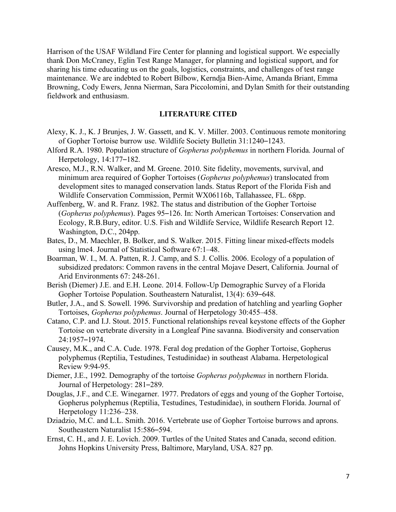Harrison of the USAF Wildland Fire Center for planning and logistical support. We especially thank Don McCraney, Eglin Test Range Manager, for planning and logistical support, and for sharing his time educating us on the goals, logistics, constraints, and challenges of test range maintenance. We are indebted to Robert Bilbow, Kerndja Bien-Aime, Amanda Briant, Emma Browning, Cody Ewers, Jenna Nierman, Sara Piccolomini, and Dylan Smith for their outstanding fieldwork and enthusiasm.

# **LITERATURE CITED**

- Alexy, K. J., K. J Brunjes, J. W. Gassett, and K. V. Miller. 2003. Continuous remote monitoring of Gopher Tortoise burrow use. Wildlife Society Bulletin 31:1240–1243.
- Alford R.A. 1980. Population structure of *Gopherus polyphemus* in northern Florida. Journal of Herpetology, 14:177–182.
- Aresco, M.J., R.N. Walker, and M. Greene. 2010. Site fidelity, movements, survival, and minimum area required of Gopher Tortoises (*Gopherus polyphemus*) translocated from development sites to managed conservation lands. Status Report of the Florida Fish and Wildlife Conservation Commission, Permit WX06116b, Tallahassee, FL. 68pp.
- Auffenberg, W. and R. Franz. 1982. The status and distribution of the Gopher Tortoise (*Gopherus polyphemus*). Pages 95–126. In: North American Tortoises: Conservation and Ecology, R.B.Bury, editor. U.S. Fish and Wildlife Service, Wildlife Research Report 12. Washington, D.C., 204pp.
- Bates, D., M. Maechler, B. Bolker, and S. Walker. 2015. Fitting linear mixed-effects models using lme4. Journal of Statistical Software 67:1–48.
- Boarman, W. I., M. A. Patten, R. J. Camp, and S. J. Collis. 2006. Ecology of a population of subsidized predators: Common ravens in the central Mojave Desert, California. Journal of Arid Environments 67: 248-261.
- Berish (Diemer) J.E. and E.H. Leone. 2014. Follow-Up Demographic Survey of a Florida Gopher Tortoise Population. Southeastern Naturalist, 13(4): 639–648.
- Butler, J.A., and S. Sowell. 1996. Survivorship and predation of hatchling and yearling Gopher Tortoises, *Gopherus polyphemus*. Journal of Herpetology 30:455–458.
- Catano, C.P. and I.J. Stout. 2015. Functional relationships reveal keystone effects of the Gopher Tortoise on vertebrate diversity in a Longleaf Pine savanna. Biodiversity and conservation 24:1957–1974.
- Causey, M.K., and C.A. Cude. 1978. Feral dog predation of the Gopher Tortoise, Gopherus polyphemus (Reptilia, Testudines, Testudinidae) in southeast Alabama. Herpetological Review 9:94-95.
- Diemer, J.E., 1992. Demography of the tortoise *Gopherus polyphemus* in northern Florida. Journal of Herpetology: 281–289.
- Douglas, J.F., and C.E. Winegarner. 1977. Predators of eggs and young of the Gopher Tortoise, Gopherus polyphemus (Reptilia, Testudines, Testudinidae), in southern Florida. Journal of Herpetology 11:236-238. Herpetology 11:236–238. Dziadzio, M.C. and L.L. Smith. 2016. Vertebrate use of Gopher Tortoise burrows and aprons.
- Southeastern Naturalist 15:586–594.
- Ernst, C. H., and J. E. Lovich. 2009. Turtles of the United States and Canada, second edition. Johns Hopkins University Press, Baltimore, Maryland, USA. 827 pp.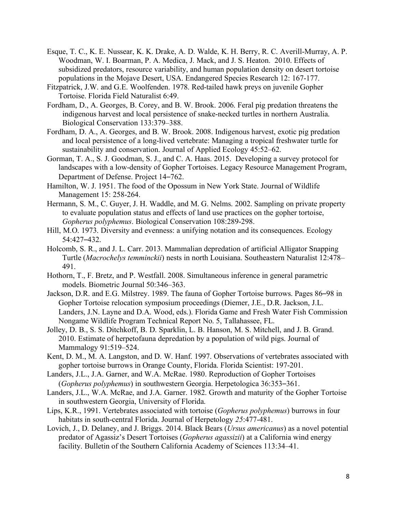- Esque, T. C., K. E. Nussear, K. K. Drake, A. D. Walde, K. H. Berry, R. C. Averill-Murray, A. P. Woodman, W. I. Boarman, P. A. Medica, J. Mack, and J. S. Heaton. 2010. Effects of subsidized predators, resource variability, and human population density on desert tortoise populations in the Mojave Desert, USA. Endangered Species Research 12: 167-177.
- Fitzpatrick, J.W. and G.E. Woolfenden. 1978. Red-tailed hawk preys on juvenile Gopher Tortoise. Florida Field Naturalist 6:49.
- Fordham, D., A. Georges, B. Corey, and B. W. Brook. 2006. Feral pig predation threatens the indigenous harvest and local persistence of snake-necked turtles in northern Australia. Biological Conservation 133:379–388.
- Fordham, D. A., A. Georges, and B. W. Brook. 2008. Indigenous harvest, exotic pig predation and local persistence of a long-lived vertebrate: Managing a tropical freshwater turtle for sustainability and conservation. Journal of Applied Ecology 45:52–62.
- Gorman, T. A., S. J. Goodman, S. J., and C. A. Haas. 2015. Developing a survey protocol for landscapes with a low-density of Gopher Tortoises. Legacy Resource Management Program, Department of Defense. Project 14–762.
- Hamilton, W. J. 1951. The food of the Opossum in New York State. Journal of Wildlife Management 15: 258-264.
- Hermann, S. M., C. Guyer, J. H. Waddle, and M. G. Nelms. 2002. Sampling on private property to evaluate population status and effects of land use practices on the gopher tortoise, *Gopherus polyphemus*. Biological Conservation 108:289-298.
- Hill, M.O. 1973. Diversity and evenness: a unifying notation and its consequences. Ecology 54:427–432.
- Holcomb, S. R., and J. L. Carr. 2013. Mammalian depredation of artificial Alligator Snapping Turtle (*Macrochelys temminckii*) nests in north Louisiana. Southeastern Naturalist 12:478– 491.
- Hothorn, T., F. Bretz, and P. Westfall. 2008. Simultaneous inference in general parametric models. Biometric Journal 50:346–363.
- Jackson, D.R. and E.G. Milstrey. 1989. The fauna of Gopher Tortoise burrows. Pages 86–98 in Gopher Tortoise relocation symposium proceedings (Diemer, J.E., D.R. Jackson, J.L. Landers, J.N. Layne and D.A. Wood, eds.). Florida Game and Fresh Water Fish Commission Nongame Wildlife Program Technical Report No. 5, Tallahassee, FL.
- Jolley, D. B., S. S. Ditchkoff, B. D. Sparklin, L. B. Hanson, M. S. Mitchell, and J. B. Grand. 2010. Estimate of herpetofauna depredation by a population of wild pigs. Journal of Mammalogy 91:519–524.
- Kent, D. M., M. A. Langston, and D. W. Hanf. 1997. Observations of vertebrates associated with gopher tortoise burrows in Orange County, Florida. Florida Scientist: 197-201.
- Landers, J.L., J.A. Garner, and W.A. McRae. 1980. Reproduction of Gopher Tortoises (*Gopherus polyphemus*) in southwestern Georgia. Herpetologica 36:353–361.
- Landers, J.L., W.A. McRae, and J.A. Garner. 1982. Growth and maturity of the Gopher Tortoise in southwestern Georgia, University of Florida.
- Lips, K.R., 1991. Vertebrates associated with tortoise (*Gopherus polyphemus*) burrows in four habitats in south-central Florida. Journal of Herpetology *25*:477-481.
- Lovich, J., D. Delaney, and J. Briggs. 2014. Black Bears (*Ursus americanus*) as a novel potential predator of Agassiz's Desert Tortoises (*Gopherus agassizii*) at a California wind energy facility. Bulletin of the Southern California Academy of Sciences 113:34–41.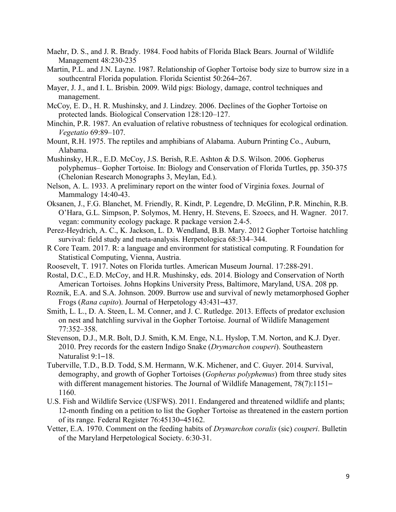- Maehr, D. S., and J. R. Brady. 1984. Food habits of Florida Black Bears. Journal of Wildlife Management 48:230-235
- Martin, P.L. and J.N. Layne. 1987. Relationship of Gopher Tortoise body size to burrow size in a southcentral Florida population. Florida Scientist 50:264–267.
- Mayer, J. J., and I. L. Brisbin. 2009. Wild pigs: Biology, damage, control techniques and management.
- management.<br>McCoy, E. D., H. R. Mushinsky, and J. Lindzey. 2006. Declines of the Gopher Tortoise on protected lands. Biological Conservation 128:120–127.
- Minchin, P.R. 1987. An evaluation of relative robustness of techniques for ecological ordination. *Vegetatio* 69:89–107.
- Mount, R.H. 1975. The reptiles and amphibians of Alabama. Auburn Printing Co., Auburn, Alabama.
- Alabama. Mushinsky, H.R., E.D. McCoy, J.S. Berish, R.E. Ashton & D.S. Wilson. 2006. Gopherus polyphemus– Gopher Tortoise. In: Biology and Conservation of Florida Turtles, pp. 350-375 (Chelonian Research Monographs 3, Meylan, Ed.).
- Nelson, A. L. 1933. A preliminary report on the winter food of Virginia foxes. Journal of Mammalogy 14:40-43.
- Oksanen, J., F.G. Blanchet, M. Friendly, R. Kindt, P. Legendre, D. McGlinn, P.R. Minchin, R.B. O'Hara, G.L. Simpson, P. Solymos, M. Henry, H. Stevens, E. Szoecs, and H. Wagner. 2017. vegan: community ecology package. R package version 2.4-5.
- Perez-Heydrich, A. C., K. Jackson, L. D. Wendland, B.B. Mary. 2012 Gopher Tortoise hatchling survival: field study and meta-analysis. Herpetologica 68:334–344.
- R Core Team. 2017. R: a language and environment for statistical computing. R Foundation for Statistical Computing, Vienna, Austria.
- Roosevelt, T. 1917. Notes on Florida turtles. American Museum Journal. 17:288-291.
- Rostal, D.C., E.D. McCoy, and H.R. Mushinsky, eds. 2014. Biology and Conservation of North American Tortoises. Johns Hopkins University Press, Baltimore, Maryland, USA. 208 pp.
- Roznik, E.A. and S.A. Johnson. 2009. Burrow use and survival of newly metamorphosed Gopher Frogs (*Rana capito*). Journal of Herpetology 43:431–437.
- Smith, L. L., D. A. Steen, L. M. Conner, and J. C. Rutledge. 2013. Effects of predator exclusion on nest and hatchling survival in the Gopher Tortoise. Journal of Wildlife Management 77:352–358.
- Stevenson, D.J., M.R. Bolt, D.J. Smith, K.M. Enge, N.L. Hyslop, T.M. Norton, and K.J. Dyer. 2010. Prey records for the eastern Indigo Snake (*Drymarchon couperi*). Southeastern Naturalist 9:1–18.
- Tuberville, T.D., B.D. Todd, S.M. Hermann, W.K. Michener, and C. Guyer. 2014. Survival, demography, and growth of Gopher Tortoises (*Gopherus polyphemus*) from three study sites with different management histories. The Journal of Wildlife Management, 78(7):1151-1160.
- U.S. Fish and Wildlife Service (USFWS). 2011. Endangered and threatened wildlife and plants; 12-month finding on a petition to list the Gopher Tortoise as threatened in the eastern portion of its range. Federal Register 76:45130–45162.
- Vetter, E.A. 1970. Comment on the feeding habits of *Drymarchon coralis* (sic) *couperi*. Bulletin of the Maryland Herpetological Society. 6:30-31.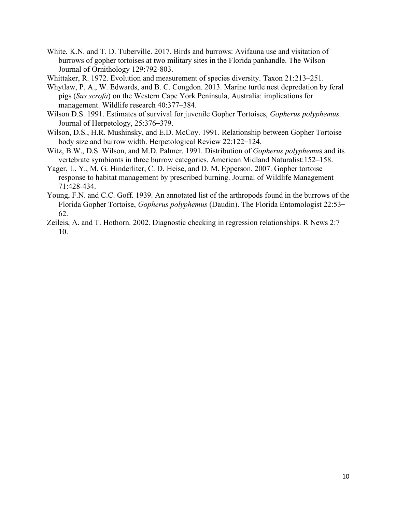White, K.N. and T. D. Tuberville. 2017. Birds and burrows: Avifauna use and visitation of burrows of gopher tortoises at two military sites in the Florida panhandle. The Wilson Journal of Ornithology 129:792-803.

Whittaker, R. 1972. Evolution and measurement of species diversity. Taxon 21:213–251.

- Whytlaw, P. A., W. Edwards, and B. C. Congdon. 2013. Marine turtle nest depredation by feral pigs (*Sus scrofa*) on the Western Cape York Peninsula, Australia: implications for management. Wildlife research 40:377–384.
- Wilson D.S. 1991. Estimates of survival for juvenile Gopher Tortoises, *Gopherus polyphemus*. Journal of Herpetology, 25:376–379.
- Wilson, D.S., H.R. Mushinsky, and E.D. McCoy. 1991. Relationship between Gopher Tortoise body size and burrow width. Herpetological Review 22:122–124.
- Witz, B.W., D.S. Wilson, and M.D. Palmer. 1991. Distribution of *Gopherus polyphemu*s and its vertebrate symbionts in three burrow categories. American Midland Naturalist:152–158.
- Yager, L. Y., M. G. Hinderliter, C. D. Heise, and D. M. Epperson. 2007. Gopher tortoise response to habitat management by prescribed burning. Journal of Wildlife Management 71:428-434.
- Young, F.N. and C.C. Goff. 1939. An annotated list of the arthropods found in the burrows of the Florida Gopher Tortoise, *Gopherus polyphemus* (Daudin). The Florida Entomologist 22:53– 62.
- Zeileis, A. and T. Hothorn. 2002. Diagnostic checking in regression relationships. R News 2:7– 10.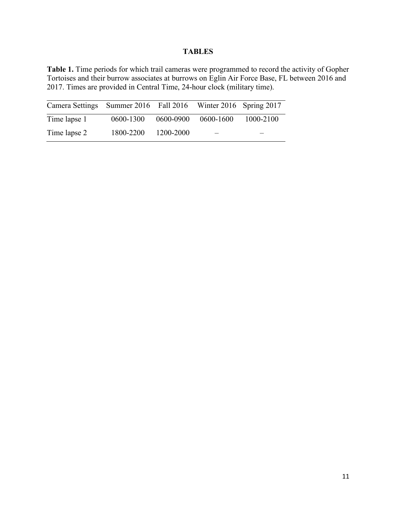# **TABLES**

 **Table 1.** Time periods for which trail cameras were programmed to record the activity of Gopher Tortoises and their burrow associates at burrows on Eglin Air Force Base, FL between 2016 and 2017. Times are provided in Central Time, 24-hour clock (military time).

| Camera Settings Summer 2016 Fall 2016 Winter 2016 Spring 2017 |           |           |           |           |
|---------------------------------------------------------------|-----------|-----------|-----------|-----------|
| Time lapse 1                                                  | 0600-1300 | 0600-0900 | 0600-1600 | 1000-2100 |
| Time lapse 2                                                  | 1800-2200 | 1200-2000 |           |           |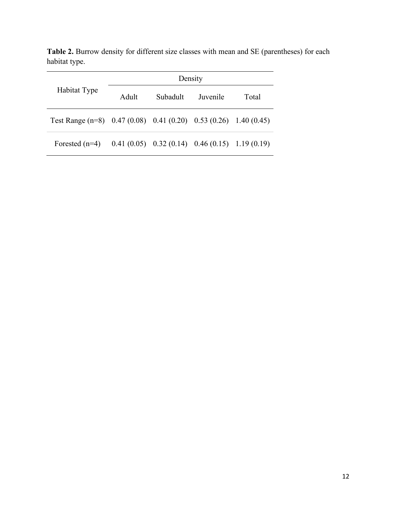| Habitat Type                                                       | Density |          |                                                    |       |  |
|--------------------------------------------------------------------|---------|----------|----------------------------------------------------|-------|--|
|                                                                    | Adult   | Subadult | Juvenile                                           | Total |  |
| Test Range $(n=8)$ 0.47 (0.08) 0.41 (0.20) 0.53 (0.26) 1.40 (0.45) |         |          |                                                    |       |  |
| Forested $(n=4)$                                                   |         |          | $0.41(0.05)$ $0.32(0.14)$ $0.46(0.15)$ 1.19 (0.19) |       |  |

Table 2. Burrow density for different size classes with mean and SE (parentheses) for each habitat type.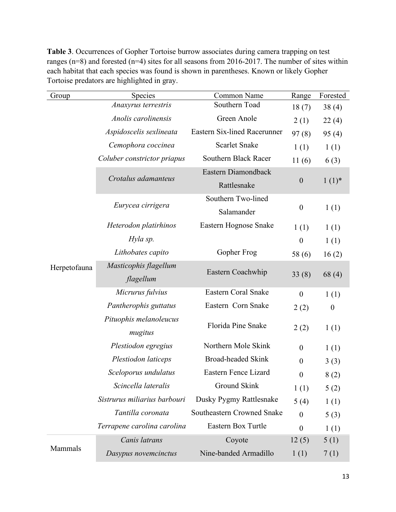**Table 3**. Occurrences of Gopher Tortoise burrow associates during camera trapping on test ranges (n=8) and forested (n=4) sites for all seasons from 2016-2017. The number of sites within each habitat that each species was found is shown in parentheses. Known or likely Gopher Tortoise predators are highlighted in gray.

| Group        | <b>Species</b>                     | Common Name                        | Range            | Forested         |
|--------------|------------------------------------|------------------------------------|------------------|------------------|
|              | Anaxyrus terrestris                | Southern Toad                      | 18(7)            | 38(4)            |
|              | Anolis carolinensis                | Green Anole                        | 2(1)             | 22(4)            |
|              | Aspidoscelis sexlineata            | Eastern Six-lined Racerunner       | 97(8)            | 95(4)            |
|              | Cemophora coccinea                 | <b>Scarlet Snake</b>               | 1(1)             | 1(1)             |
|              | Coluber constrictor priapus        | Southern Black Racer               | 11(6)            | 6(3)             |
|              | Crotalus adamanteus                | Eastern Diamondback<br>Rattlesnake | $\boldsymbol{0}$ | $1(1)^*$         |
|              | Eurycea cirrigera                  | Southern Two-lined<br>Salamander   | $\boldsymbol{0}$ | 1(1)             |
|              | Heterodon platirhinos              | Eastern Hognose Snake              | 1(1)             | 1(1)             |
|              | Hyla sp.                           |                                    | $\boldsymbol{0}$ | 1(1)             |
|              | Lithobates capito                  | Gopher Frog                        | 58 (6)           | 16(2)            |
| Herpetofauna | Masticophis flagellum<br>flagellum | Eastern Coachwhip                  | 33(8)            | 68(4)            |
|              | Micrurus fulvius                   | <b>Eastern Coral Snake</b>         | $\boldsymbol{0}$ | 1(1)             |
|              | Pantherophis guttatus              | Eastern Corn Snake                 | 2(2)             | $\boldsymbol{0}$ |
|              | Pituophis melanoleucus<br>mugitus  | Florida Pine Snake                 | 2(2)             | 1(1)             |
|              | Plestiodon egregius                | Northern Mole Skink                | $\boldsymbol{0}$ | 1(1)             |
|              | Plestiodon laticeps                | <b>Broad-headed Skink</b>          | $\boldsymbol{0}$ | 3(3)             |
|              | Sceloporus undulatus               | Eastern Fence Lizard               | $\boldsymbol{0}$ | 8(2)             |
|              | Scincella lateralis                | Ground Skink                       | 1(1)             | 5(2)             |
|              | Sistrurus miliarius barbouri       | Dusky Pygmy Rattlesnake            | 5(4)             | 1(1)             |
|              | Tantilla coronata                  | Southeastern Crowned Snake         | $\boldsymbol{0}$ | 5(3)             |
|              | Terrapene carolina carolina        | Eastern Box Turtle                 | $\boldsymbol{0}$ | 1(1)             |
|              | Canis latrans                      | Coyote                             | 12(5)            | 5(1)             |
| Mammals      | Dasypus novemcinctus               | Nine-banded Armadillo              | 1(1)             | 7(1)             |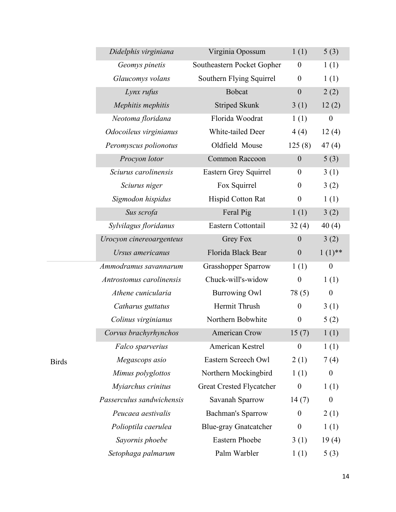|              | Didelphis virginiana      | Virginia Opossum             | 1(1)             | 5(3)             |
|--------------|---------------------------|------------------------------|------------------|------------------|
|              | Geomys pinetis            | Southeastern Pocket Gopher   | $\boldsymbol{0}$ | 1(1)             |
|              | Glaucomys volans          | Southern Flying Squirrel     | $\boldsymbol{0}$ | 1(1)             |
|              | Lynx rufus                | <b>Bobcat</b>                | $\boldsymbol{0}$ | 2(2)             |
|              | Mephitis mephitis         | <b>Striped Skunk</b>         | 3(1)             | 12(2)            |
|              | Neotoma floridana         | Florida Woodrat              | 1(1)             | $\boldsymbol{0}$ |
|              | Odocoileus virginianus    | White-tailed Deer            | 4(4)             | 12(4)            |
|              | Peromyscus polionotus     | Oldfield Mouse               | 125(8)           | 47(4)            |
|              | Procyon lotor             | Common Raccoon               | $\boldsymbol{0}$ | 5(3)             |
|              | Sciurus carolinensis      | Eastern Grey Squirrel        | $\boldsymbol{0}$ | 3(1)             |
|              | Sciurus niger             | Fox Squirrel                 | $\boldsymbol{0}$ | 3(2)             |
|              | Sigmodon hispidus         | Hispid Cotton Rat            | $\boldsymbol{0}$ | 1(1)             |
|              | Sus scrofa                | Feral Pig                    | 1(1)             | 3(2)             |
|              | Sylvilagus floridanus     | Eastern Cottontail           | 32(4)            | 40(4)            |
|              | Urocyon cinereoargenteus  | <b>Grey Fox</b>              | $\boldsymbol{0}$ | 3(2)             |
|              | Ursus americanus          | Florida Black Bear           | $\boldsymbol{0}$ | $1(1)$ **        |
|              | Ammodramus savannarum     | <b>Grasshopper Sparrow</b>   | 1(1)             | $\boldsymbol{0}$ |
|              | Antrostomus carolinensis  | Chuck-will's-widow           | $\boldsymbol{0}$ | 1(1)             |
|              | Athene cunicularia        | <b>Burrowing Owl</b>         | 78(5)            | $\boldsymbol{0}$ |
|              | Catharus guttatus         | Hermit Thrush                | $\boldsymbol{0}$ | 3(1)             |
|              | Colinus virginianus       | Northern Bobwhite            | $\boldsymbol{0}$ | 5(2)             |
|              | Corvus brachyrhynchos     | <b>American Crow</b>         | 15(7)            | 1(1)             |
|              | Falco sparverius          | American Kestrel             | $\boldsymbol{0}$ | 1(1)             |
| <b>Birds</b> | Megascops asio            | Eastern Screech Owl          | 2(1)             | 7(4)             |
|              | Mimus polyglottos         | Northern Mockingbird         | 1(1)             | $\boldsymbol{0}$ |
|              | Myiarchus crinitus        | Great Crested Flycatcher     | $\boldsymbol{0}$ | 1(1)             |
|              | Passerculus sandwichensis | Savanah Sparrow              | 14(7)            | $\boldsymbol{0}$ |
|              | Peucaea aestivalis        | <b>Bachman's Sparrow</b>     | $\boldsymbol{0}$ | 2(1)             |
|              | Polioptila caerulea       | <b>Blue-gray Gnatcatcher</b> | $\boldsymbol{0}$ | 1(1)             |
|              | Sayornis phoebe           | Eastern Phoebe               | 3(1)             | 19(4)            |
|              | Setophaga palmarum        | Palm Warbler                 | 1(1)             | 5(3)             |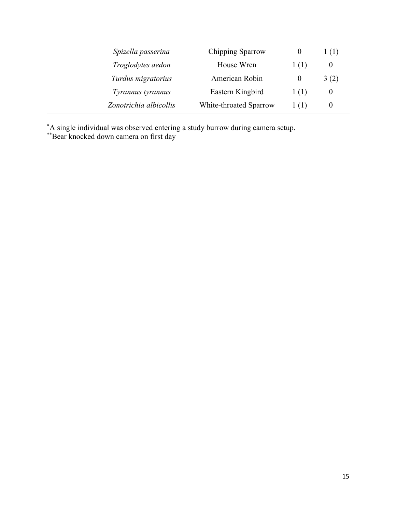| Chipping Sparrow<br>Spizella passerina |                        | O                               | 1(1)     |
|----------------------------------------|------------------------|---------------------------------|----------|
| Troglodytes aedon<br>House Wren        |                        | 1(1)                            | $\theta$ |
| Turdus migratorius                     | American Robin         | $\theta$                        | 3(2)     |
| Tyrannus tyrannus                      | Eastern Kingbird       | 1(1)                            | $\theta$ |
| Zonotrichia albicollis                 | White-throated Sparrow | $\left( \left  \right  \right)$ | $\theta$ |

**\***A single individual was observed entering a study burrow during camera setup. \*\*Bear knocked down camera on first day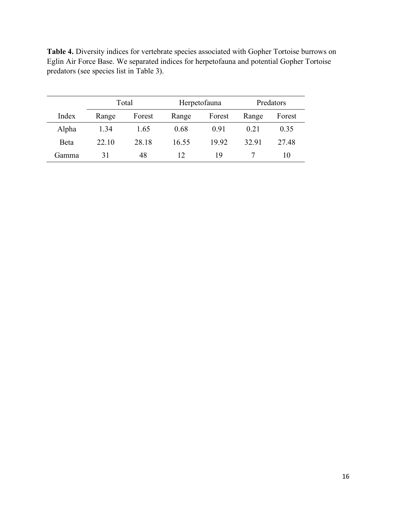**Table 4.** Diversity indices for vertebrate species associated with Gopher Tortoise burrows on Eglin Air Force Base. We separated indices for herpetofauna and potential Gopher Tortoise predators (see species list in Table 3).

|        | Total |        | Herpetofauna |        | Predators |        |
|--------|-------|--------|--------------|--------|-----------|--------|
| Index  | Range | Forest | Range        | Forest | Range     | Forest |
| Alpha  | 1.34  | 1.65   | 0.68         | 0.91   | 0.21      | 0.35   |
| Beta   | 22 10 | 28.18  | 16.55        | 19.92  | 32.91     | 27.48  |
| Gamma) | 31    | 48     | 12           | 19     |           | 10     |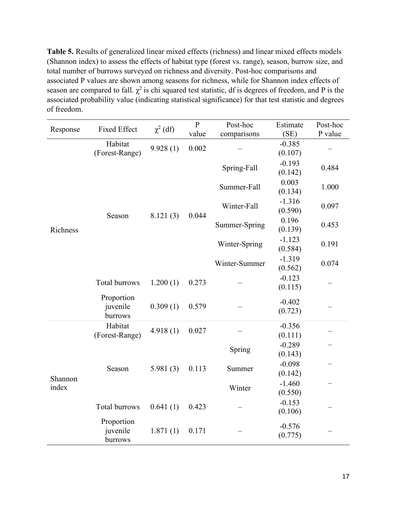**Table 5.** Results of generalized linear mixed effects (richness) and linear mixed effects models (Shannon index) to assess the effects of habitat type (forest vs. range), season, burrow size, and total number of burrows surveyed on richness and diversity. Post-hoc comparisons and associated P values are shown among seasons for richness, while for Shannon index effects of season are compared to fall.  $\chi^2$  is chi squared test statistic, df is degrees of freedom, and P is the associated probability value (indicating statistical significance) for that test statistic and degrees of freedom.

| Response         | <b>Fixed Effect</b>               | $\chi^2$ (df) | $\overline{P}$ | Post-hoc      | Estimate            | Post-hoc |
|------------------|-----------------------------------|---------------|----------------|---------------|---------------------|----------|
|                  |                                   |               | value          | comparisons   | (SE)                | P value  |
|                  | Habitat<br>(Forest-Range)         | 9.928(1)      | 0.002          |               | $-0.385$<br>(0.107) |          |
|                  |                                   | 8.121(3)      |                | Spring-Fall   | $-0.193$<br>(0.142) | 0.484    |
|                  |                                   |               |                | Summer-Fall   | 0.003<br>(0.134)    | 1.000    |
|                  | Season                            |               |                | Winter-Fall   | $-1.316$<br>(0.590) | 0.097    |
| Richness         |                                   |               | 0.044          | Summer-Spring | 0.196<br>(0.139)    | 0.453    |
|                  |                                   |               |                | Winter-Spring | $-1.123$<br>(0.584) | 0.191    |
|                  |                                   |               |                | Winter-Summer | $-1.319$<br>(0.562) | 0.074    |
|                  | Total burrows                     | 1.200(1)      | 0.273          |               | $-0.123$<br>(0.115) |          |
|                  | Proportion<br>juvenile<br>burrows | 0.309(1)      | 0.579          |               | $-0.402$<br>(0.723) |          |
|                  | Habitat<br>(Forest-Range)         | 4.918(1)      | 0.027          |               | $-0.356$<br>(0.111) |          |
|                  |                                   |               |                | Spring        | $-0.289$<br>(0.143) |          |
| Shannon<br>index | Season                            | 5.981(3)      | 0.113          | Summer        | $-0.098$<br>(0.142) |          |
|                  |                                   |               |                | Winter        | $-1.460$<br>(0.550) |          |
|                  | Total burrows                     | 0.641(1)      | 0.423          |               | $-0.153$<br>(0.106) |          |
|                  | Proportion<br>juvenile<br>burrows | 1.871(1)      | 0.171          |               | $-0.576$<br>(0.775) |          |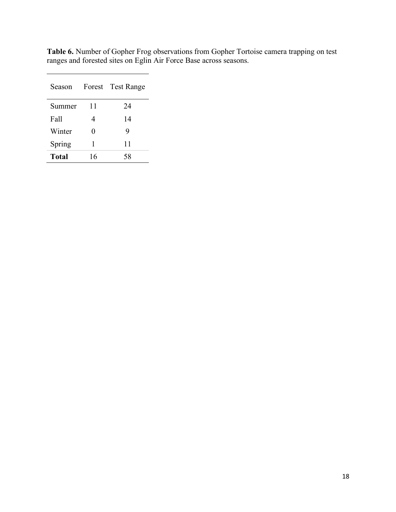| Season |    | Forest Test Range |
|--------|----|-------------------|
| Summer | 11 | 24                |
| Fall   | 4  | 14                |
| Winter | 0  | 9                 |
| Spring | 1  | 11                |
| Total  | 16 | 58                |

**Table 6.** Number of Gopher Frog observations from Gopher Tortoise camera trapping on test ranges and forested sites on Eglin Air Force Base across seasons.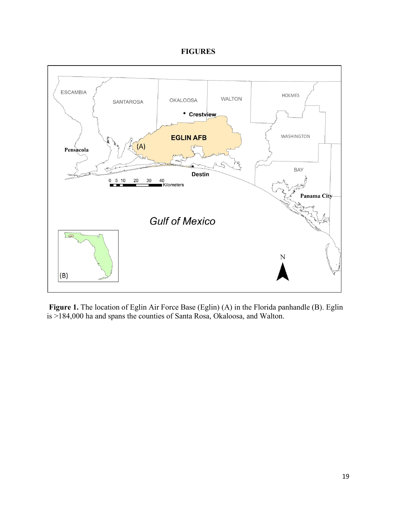## **FIGURES**



 **Figure 1.** The location of Eglin Air Force Base (Eglin) (A) in the Florida panhandle (B). Eglin is >184,000 ha and spans the counties of Santa Rosa, Okaloosa, and Walton.